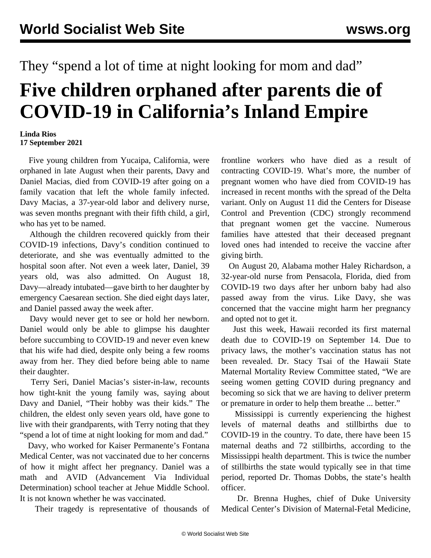## They "spend a lot of time at night looking for mom and dad"

## **Five children orphaned after parents die of COVID-19 in California's Inland Empire**

## **Linda Rios 17 September 2021**

 Five young children from Yucaipa, California, were orphaned in late August when their parents, Davy and Daniel Macias, died from COVID-19 after going on a family vacation that left the whole family infected. Davy Macias, a 37-year-old labor and delivery nurse, was seven months pregnant with their fifth child, a girl, who has yet to be named.

 Although the children recovered quickly from their COVID-19 infections, Davy's condition continued to deteriorate, and she was eventually admitted to the hospital soon after. Not even a week later, Daniel, 39 years old, was also admitted. On August 18, Davy—already intubated—gave birth to her daughter by emergency Caesarean section. She died eight days later, and Daniel passed away the week after.

 Davy would never get to see or hold her newborn. Daniel would only be able to glimpse his daughter before succumbing to COVID-19 and never even knew that his wife had died, despite only being a few rooms away from her. They died before being able to name their daughter.

 Terry Seri, Daniel Macias's sister-in-law, recounts how tight-knit the young family was, saying about Davy and Daniel, "Their hobby was their kids." The children, the eldest only seven years old, have gone to live with their grandparents, with Terry noting that they "spend a lot of time at night looking for mom and dad."

 Davy, who worked for Kaiser Permanente's Fontana Medical Center, was not vaccinated due to her concerns of how it might affect her pregnancy. Daniel was a math and AVID (Advancement Via Individual Determination) school teacher at Jehue Middle School. It is not known whether he was vaccinated.

Their tragedy is representative of thousands of

frontline workers who have died as a result of contracting COVID-19. What's more, the number of pregnant women who have died from COVID-19 has [increased](/en/articles/2021/08/21/preg-a21.html) in recent months with the spread of the Delta variant. Only on August 11 did the Centers for Disease Control and Prevention (CDC) strongly recommend that pregnant women get the vaccine. Numerous families have attested that their deceased pregnant loved ones had intended to receive the vaccine after giving birth.

 On August 20, Alabama mother Haley Richardson, a 32-year-old nurse from Pensacola, Florida, died from COVID-19 two days after her unborn baby had also passed away from the virus. Like Davy, she was concerned that the vaccine might harm her pregnancy and opted not to get it.

 Just this week, Hawaii recorded its first maternal death due to COVID-19 on September 14. Due to privacy laws, the mother's vaccination status has not been revealed. Dr. Stacy Tsai of the Hawaii State Maternal Mortality Review Committee stated, "We are seeing women getting COVID during pregnancy and becoming so sick that we are having to deliver preterm or premature in order to help them breathe ... better."

 Mississippi is currently experiencing the highest levels of maternal deaths and stillbirths due to COVID-19 in the country. To date, there have been 15 maternal deaths and 72 stillbirths, according to the Mississippi health department. This is twice the number of stillbirths the state would typically see in that time period, reported Dr. Thomas Dobbs, the state's health officer.

 Dr. Brenna Hughes, chief of Duke University Medical Center's Division of Maternal-Fetal Medicine,